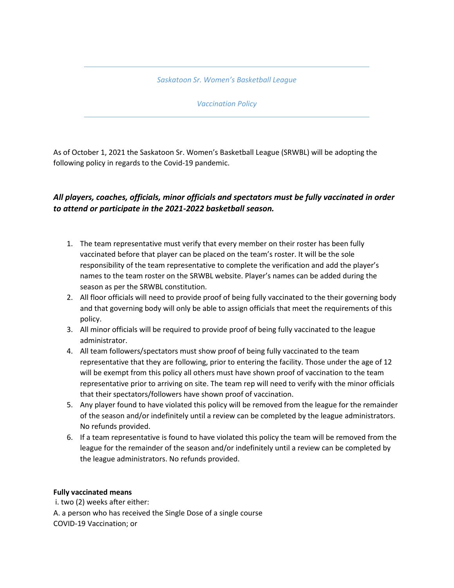*Saskatoon Sr. Women's Basketball League*

*Vaccination Policy*

As of October 1, 2021 the Saskatoon Sr. Women's Basketball League (SRWBL) will be adopting the following policy in regards to the Covid-19 pandemic.

## *All players, coaches, officials, minor officials and spectators must be fully vaccinated in order to attend or participate in the 2021-2022 basketball season.*

- 1. The team representative must verify that every member on their roster has been fully vaccinated before that player can be placed on the team's roster. It will be the sole responsibility of the team representative to complete the verification and add the player's names to the team roster on the SRWBL website. Player's names can be added during the season as per the SRWBL constitution.
- 2. All floor officials will need to provide proof of being fully vaccinated to the their governing body and that governing body will only be able to assign officials that meet the requirements of this policy.
- 3. All minor officials will be required to provide proof of being fully vaccinated to the league administrator.
- 4. All team followers/spectators must show proof of being fully vaccinated to the team representative that they are following, prior to entering the facility. Those under the age of 12 will be exempt from this policy all others must have shown proof of vaccination to the team representative prior to arriving on site. The team rep will need to verify with the minor officials that their spectators/followers have shown proof of vaccination.
- 5. Any player found to have violated this policy will be removed from the league for the remainder of the season and/or indefinitely until a review can be completed by the league administrators. No refunds provided.
- 6. If a team representative is found to have violated this policy the team will be removed from the league for the remainder of the season and/or indefinitely until a review can be completed by the league administrators. No refunds provided.

## **Fully vaccinated means**

i. two (2) weeks after either: A. a person who has received the Single Dose of a single course COVID-19 Vaccination; or